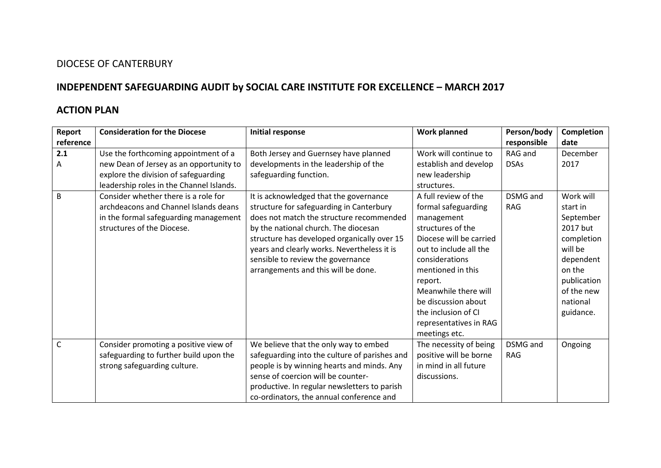## DIOCESE OF CANTERBURY

## **INDEPENDENT SAFEGUARDING AUDIT by SOCIAL CARE INSTITUTE FOR EXCELLENCE – MARCH 2017**

## **ACTION PLAN**

| Report    | <b>Consideration for the Diocese</b>     | <b>Initial response</b>                       | <b>Work planned</b>     | Person/body | Completion  |
|-----------|------------------------------------------|-----------------------------------------------|-------------------------|-------------|-------------|
| reference |                                          |                                               |                         | responsible | date        |
| 2.1       | Use the forthcoming appointment of a     | Both Jersey and Guernsey have planned         | Work will continue to   | RAG and     | December    |
| Α         | new Dean of Jersey as an opportunity to  | developments in the leadership of the         | establish and develop   | <b>DSAs</b> | 2017        |
|           | explore the division of safeguarding     | safeguarding function.                        | new leadership          |             |             |
|           | leadership roles in the Channel Islands. |                                               | structures.             |             |             |
| B         | Consider whether there is a role for     | It is acknowledged that the governance        | A full review of the    | DSMG and    | Work will   |
|           | archdeacons and Channel Islands deans    | structure for safeguarding in Canterbury      | formal safeguarding     | <b>RAG</b>  | start in    |
|           | in the formal safeguarding management    | does not match the structure recommended      | management              |             | September   |
|           | structures of the Diocese.               | by the national church. The diocesan          | structures of the       |             | 2017 but    |
|           |                                          | structure has developed organically over 15   | Diocese will be carried |             | completion  |
|           |                                          | years and clearly works. Nevertheless it is   | out to include all the  |             | will be     |
|           |                                          | sensible to review the governance             | considerations          |             | dependent   |
|           |                                          | arrangements and this will be done.           | mentioned in this       |             | on the      |
|           |                                          |                                               | report.                 |             | publication |
|           |                                          |                                               | Meanwhile there will    |             | of the new  |
|           |                                          |                                               | be discussion about     |             | national    |
|           |                                          |                                               | the inclusion of CI     |             | guidance.   |
|           |                                          |                                               | representatives in RAG  |             |             |
|           |                                          |                                               | meetings etc.           |             |             |
| C         | Consider promoting a positive view of    | We believe that the only way to embed         | The necessity of being  | DSMG and    | Ongoing     |
|           | safeguarding to further build upon the   | safeguarding into the culture of parishes and | positive will be borne  | <b>RAG</b>  |             |
|           | strong safeguarding culture.             | people is by winning hearts and minds. Any    | in mind in all future   |             |             |
|           |                                          | sense of coercion will be counter-            | discussions.            |             |             |
|           |                                          | productive. In regular newsletters to parish  |                         |             |             |
|           |                                          | co-ordinators, the annual conference and      |                         |             |             |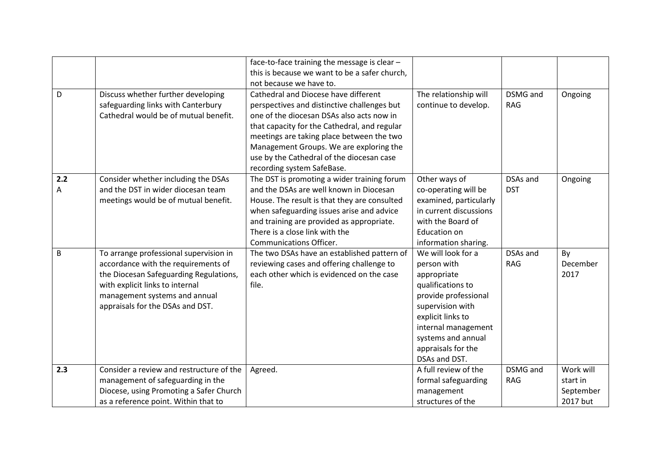|     |                                          | face-to-face training the message is clear -  |                        |                 |           |
|-----|------------------------------------------|-----------------------------------------------|------------------------|-----------------|-----------|
|     |                                          | this is because we want to be a safer church, |                        |                 |           |
|     |                                          | not because we have to.                       |                        |                 |           |
| D   | Discuss whether further developing       | Cathedral and Diocese have different          | The relationship will  | DSMG and        | Ongoing   |
|     | safeguarding links with Canterbury       | perspectives and distinctive challenges but   | continue to develop.   | <b>RAG</b>      |           |
|     | Cathedral would be of mutual benefit.    | one of the diocesan DSAs also acts now in     |                        |                 |           |
|     |                                          | that capacity for the Cathedral, and regular  |                        |                 |           |
|     |                                          | meetings are taking place between the two     |                        |                 |           |
|     |                                          | Management Groups. We are exploring the       |                        |                 |           |
|     |                                          | use by the Cathedral of the diocesan case     |                        |                 |           |
|     |                                          | recording system SafeBase.                    |                        |                 |           |
| 2.2 | Consider whether including the DSAs      | The DST is promoting a wider training forum   | Other ways of          | DSAs and        | Ongoing   |
| Α   | and the DST in wider diocesan team       | and the DSAs are well known in Diocesan       | co-operating will be   | <b>DST</b>      |           |
|     | meetings would be of mutual benefit.     | House. The result is that they are consulted  | examined, particularly |                 |           |
|     |                                          | when safeguarding issues arise and advice     | in current discussions |                 |           |
|     |                                          | and training are provided as appropriate.     | with the Board of      |                 |           |
|     |                                          | There is a close link with the                | <b>Education on</b>    |                 |           |
|     |                                          | Communications Officer.                       | information sharing.   |                 |           |
| B   | To arrange professional supervision in   | The two DSAs have an established pattern of   | We will look for a     | DSAs and        | By        |
|     | accordance with the requirements of      | reviewing cases and offering challenge to     | person with            | <b>RAG</b>      | December  |
|     | the Diocesan Safeguarding Regulations,   | each other which is evidenced on the case     | appropriate            |                 | 2017      |
|     | with explicit links to internal          | file.                                         | qualifications to      |                 |           |
|     | management systems and annual            |                                               | provide professional   |                 |           |
|     | appraisals for the DSAs and DST.         |                                               | supervision with       |                 |           |
|     |                                          |                                               | explicit links to      |                 |           |
|     |                                          |                                               | internal management    |                 |           |
|     |                                          |                                               | systems and annual     |                 |           |
|     |                                          |                                               | appraisals for the     |                 |           |
|     |                                          |                                               | DSAs and DST.          |                 |           |
| 2.3 | Consider a review and restructure of the | Agreed.                                       | A full review of the   | <b>DSMG</b> and | Work will |
|     | management of safeguarding in the        |                                               | formal safeguarding    | <b>RAG</b>      | start in  |
|     | Diocese, using Promoting a Safer Church  |                                               | management             |                 | September |
|     | as a reference point. Within that to     |                                               | structures of the      |                 | 2017 but  |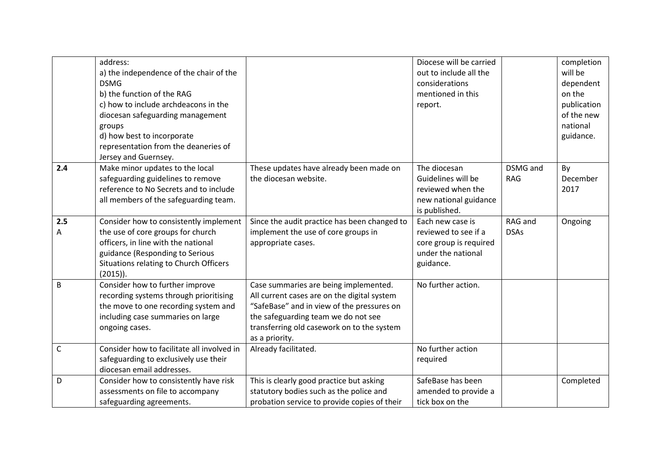|          | address:<br>a) the independence of the chair of the<br><b>DSMG</b><br>b) the function of the RAG<br>c) how to include archdeacons in the<br>diocesan safeguarding management<br>groups<br>d) how best to incorporate<br>representation from the deaneries of<br>Jersey and Guernsey. |                                                                                                                                                                                                                                           | Diocese will be carried<br>out to include all the<br>considerations<br>mentioned in this<br>report.   |                        | completion<br>will be<br>dependent<br>on the<br>publication<br>of the new<br>national<br>guidance. |
|----------|--------------------------------------------------------------------------------------------------------------------------------------------------------------------------------------------------------------------------------------------------------------------------------------|-------------------------------------------------------------------------------------------------------------------------------------------------------------------------------------------------------------------------------------------|-------------------------------------------------------------------------------------------------------|------------------------|----------------------------------------------------------------------------------------------------|
| 2.4      | Make minor updates to the local<br>safeguarding guidelines to remove<br>reference to No Secrets and to include<br>all members of the safeguarding team.                                                                                                                              | These updates have already been made on<br>the diocesan website.                                                                                                                                                                          | The diocesan<br>Guidelines will be<br>reviewed when the<br>new national guidance<br>is published.     | DSMG and<br><b>RAG</b> | By<br>December<br>2017                                                                             |
| 2.5<br>Α | Consider how to consistently implement<br>the use of core groups for church<br>officers, in line with the national<br>guidance (Responding to Serious<br>Situations relating to Church Officers<br>$(2015)$ ).                                                                       | Since the audit practice has been changed to<br>implement the use of core groups in<br>appropriate cases.                                                                                                                                 | Each new case is<br>reviewed to see if a<br>core group is required<br>under the national<br>guidance. | RAG and<br><b>DSAs</b> | Ongoing                                                                                            |
| B        | Consider how to further improve<br>recording systems through prioritising<br>the move to one recording system and<br>including case summaries on large<br>ongoing cases.                                                                                                             | Case summaries are being implemented.<br>All current cases are on the digital system<br>"SafeBase" and in view of the pressures on<br>the safeguarding team we do not see<br>transferring old casework on to the system<br>as a priority. | No further action.                                                                                    |                        |                                                                                                    |
| C        | Consider how to facilitate all involved in<br>safeguarding to exclusively use their<br>diocesan email addresses.                                                                                                                                                                     | Already facilitated.                                                                                                                                                                                                                      | No further action<br>required                                                                         |                        |                                                                                                    |
| D        | Consider how to consistently have risk<br>assessments on file to accompany<br>safeguarding agreements.                                                                                                                                                                               | This is clearly good practice but asking<br>statutory bodies such as the police and<br>probation service to provide copies of their                                                                                                       | SafeBase has been<br>amended to provide a<br>tick box on the                                          |                        | Completed                                                                                          |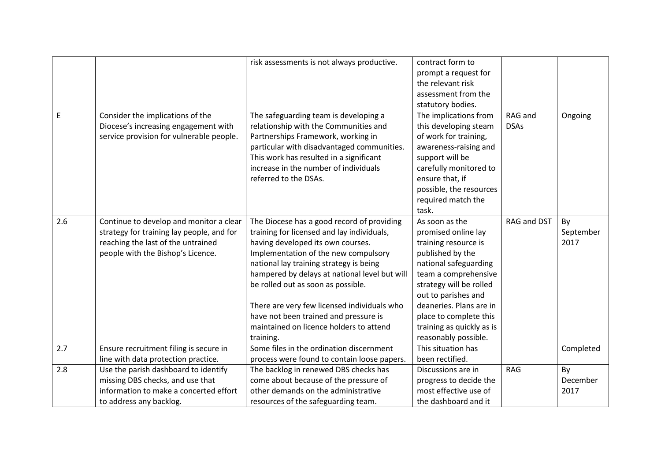|     |                                           | risk assessments is not always productive.    | contract form to<br>prompt a request for |             |           |
|-----|-------------------------------------------|-----------------------------------------------|------------------------------------------|-------------|-----------|
|     |                                           |                                               | the relevant risk                        |             |           |
|     |                                           |                                               | assessment from the                      |             |           |
|     |                                           |                                               | statutory bodies.                        |             |           |
| E   | Consider the implications of the          | The safeguarding team is developing a         | The implications from                    | RAG and     | Ongoing   |
|     | Diocese's increasing engagement with      | relationship with the Communities and         | this developing steam                    | <b>DSAs</b> |           |
|     | service provision for vulnerable people.  | Partnerships Framework, working in            | of work for training,                    |             |           |
|     |                                           | particular with disadvantaged communities.    | awareness-raising and                    |             |           |
|     |                                           | This work has resulted in a significant       | support will be                          |             |           |
|     |                                           | increase in the number of individuals         | carefully monitored to                   |             |           |
|     |                                           | referred to the DSAs.                         | ensure that, if                          |             |           |
|     |                                           |                                               | possible, the resources                  |             |           |
|     |                                           |                                               | required match the                       |             |           |
|     |                                           |                                               | task.                                    |             |           |
| 2.6 | Continue to develop and monitor a clear   | The Diocese has a good record of providing    | As soon as the                           | RAG and DST | By        |
|     | strategy for training lay people, and for | training for licensed and lay individuals,    | promised online lay                      |             | September |
|     | reaching the last of the untrained        | having developed its own courses.             | training resource is                     |             | 2017      |
|     | people with the Bishop's Licence.         | Implementation of the new compulsory          | published by the                         |             |           |
|     |                                           | national lay training strategy is being       | national safeguarding                    |             |           |
|     |                                           | hampered by delays at national level but will | team a comprehensive                     |             |           |
|     |                                           | be rolled out as soon as possible.            | strategy will be rolled                  |             |           |
|     |                                           |                                               | out to parishes and                      |             |           |
|     |                                           | There are very few licensed individuals who   | deaneries. Plans are in                  |             |           |
|     |                                           | have not been trained and pressure is         | place to complete this                   |             |           |
|     |                                           | maintained on licence holders to attend       | training as quickly as is                |             |           |
|     |                                           | training.                                     | reasonably possible.                     |             |           |
| 2.7 | Ensure recruitment filing is secure in    | Some files in the ordination discernment      | This situation has                       |             | Completed |
|     | line with data protection practice.       | process were found to contain loose papers.   | been rectified.                          |             |           |
| 2.8 | Use the parish dashboard to identify      | The backlog in renewed DBS checks has         | Discussions are in                       | <b>RAG</b>  | By        |
|     | missing DBS checks, and use that          | come about because of the pressure of         | progress to decide the                   |             | December  |
|     | information to make a concerted effort    | other demands on the administrative           | most effective use of                    |             | 2017      |
|     | to address any backlog.                   | resources of the safeguarding team.           | the dashboard and it                     |             |           |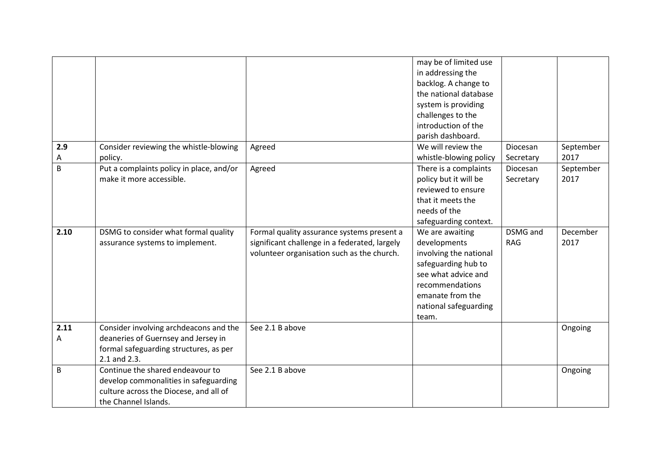|      |                                          |                                               | may be of limited use  |            |           |
|------|------------------------------------------|-----------------------------------------------|------------------------|------------|-----------|
|      |                                          |                                               | in addressing the      |            |           |
|      |                                          |                                               | backlog. A change to   |            |           |
|      |                                          |                                               | the national database  |            |           |
|      |                                          |                                               | system is providing    |            |           |
|      |                                          |                                               | challenges to the      |            |           |
|      |                                          |                                               | introduction of the    |            |           |
|      |                                          |                                               | parish dashboard.      |            |           |
| 2.9  | Consider reviewing the whistle-blowing   | Agreed                                        | We will review the     | Diocesan   | September |
| А    | policy.                                  |                                               | whistle-blowing policy | Secretary  | 2017      |
| B    | Put a complaints policy in place, and/or | Agreed                                        | There is a complaints  | Diocesan   | September |
|      | make it more accessible.                 |                                               | policy but it will be  | Secretary  | 2017      |
|      |                                          |                                               | reviewed to ensure     |            |           |
|      |                                          |                                               | that it meets the      |            |           |
|      |                                          |                                               | needs of the           |            |           |
|      |                                          |                                               | safeguarding context.  |            |           |
| 2.10 | DSMG to consider what formal quality     | Formal quality assurance systems present a    | We are awaiting        | DSMG and   | December  |
|      | assurance systems to implement.          | significant challenge in a federated, largely | developments           | <b>RAG</b> | 2017      |
|      |                                          | volunteer organisation such as the church.    | involving the national |            |           |
|      |                                          |                                               | safeguarding hub to    |            |           |
|      |                                          |                                               | see what advice and    |            |           |
|      |                                          |                                               | recommendations        |            |           |
|      |                                          |                                               | emanate from the       |            |           |
|      |                                          |                                               |                        |            |           |
|      |                                          |                                               | national safeguarding  |            |           |
|      |                                          |                                               | team.                  |            |           |
| 2.11 | Consider involving archdeacons and the   | See 2.1 B above                               |                        |            | Ongoing   |
| Α    | deaneries of Guernsey and Jersey in      |                                               |                        |            |           |
|      | formal safeguarding structures, as per   |                                               |                        |            |           |
|      | 2.1 and 2.3.                             |                                               |                        |            |           |
| B    | Continue the shared endeavour to         | See 2.1 B above                               |                        |            | Ongoing   |
|      | develop commonalities in safeguarding    |                                               |                        |            |           |
|      | culture across the Diocese, and all of   |                                               |                        |            |           |
|      | the Channel Islands.                     |                                               |                        |            |           |